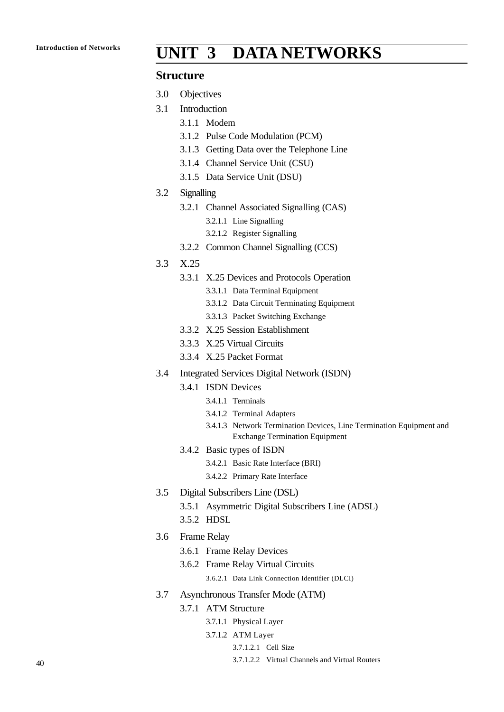# **Introduction of Networks UNIT 3 DATA NETWORKS**

#### **Structure**

- 3.0 Objectives
- 3.1 Introduction
	- 3.1.1 Modem
	- 3.1.2 Pulse Code Modulation (PCM)
	- 3.1.3 Getting Data over the Telephone Line
	- 3.1.4 Channel Service Unit (CSU)
	- 3.1.5 Data Service Unit (DSU)
- 3.2 Signalling
	- 3.2.1 Channel Associated Signalling (CAS)
		- 3.2.1.1 Line Signalling
		- 3.2.1.2 Register Signalling
	- 3.2.2 Common Channel Signalling (CCS)
- 3.3 X.25
	- 3.3.1 X.25 Devices and Protocols Operation
		- 3.3.1.1 Data Terminal Equipment
		- 3.3.1.2 Data Circuit Terminating Equipment
		- 3.3.1.3 Packet Switching Exchange
	- 3.3.2 X.25 Session Establishment
	- 3.3.3 X.25 Virtual Circuits
	- 3.3.4 X.25 Packet Format
- 3.4 Integrated Services Digital Network (ISDN)
	- 3.4.1 ISDN Devices
		- 3.4.1.1 Terminals
		- 3.4.1.2 Terminal Adapters
		- 3.4.1.3 Network Termination Devices, Line Termination Equipment and Exchange Termination Equipment
	- 3.4.2 Basic types of ISDN
		- 3.4.2.1 Basic Rate Interface (BRI)
		- 3.4.2.2 Primary Rate Interface
- 3.5 Digital Subscribers Line (DSL)
	- 3.5.1 Asymmetric Digital Subscribers Line (ADSL)
	- 3.5.2 HDSL
- 3.6 Frame Relay
	- 3.6.1 Frame Relay Devices
	- 3.6.2 Frame Relay Virtual Circuits
		- 3.6.2.1 Data Link Connection Identifier (DLCI)
- 3.7 Asynchronous Transfer Mode (ATM)
	- 3.7.1 ATM Structure
		- 3.7.1.1 Physical Layer
		- 3.7.1.2 ATM Layer
			- 3.7.1.2.1 Cell Size
			- 3.7.1.2.2 Virtual Channels and Virtual Routers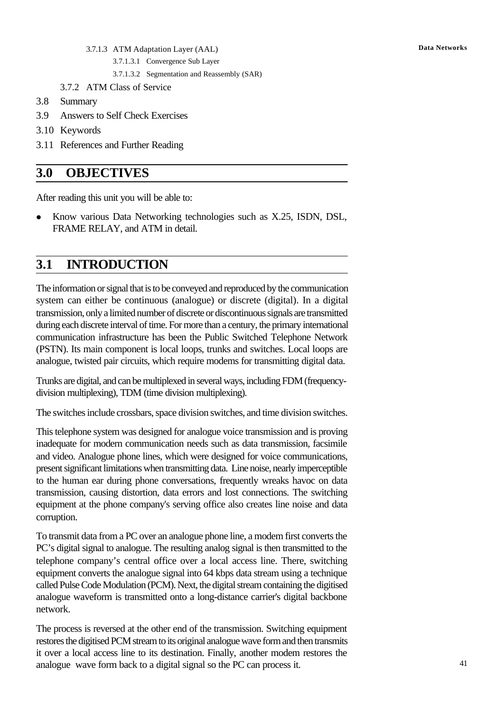#### 3.7.1.3 ATM Adaptation Layer (AAL) **Data Networks**

3.7.1.3.1 Convergence Sub Layer

#### 3.7.1.3.2 Segmentation and Reassembly (SAR)

- 3.7.2 ATM Class of Service
- 3.8 Summary
- 3.9 Answers to Self Check Exercises
- 3.10 Keywords
- 3.11 References and Further Reading

## **3.0 OBJECTIVES**

After reading this unit you will be able to:

Know various Data Networking technologies such as X.25, ISDN, DSL, FRAME RELAY, and ATM in detail.

## **3.1 INTRODUCTION**

The information or signal that is to be conveyed and reproduced by the communication system can either be continuous (analogue) or discrete (digital). In a digital transmission, only a limited number of discrete or discontinuous signals are transmitted during each discrete interval of time. For more than a century, the primary international communication infrastructure has been the Public Switched Telephone Network (PSTN). Its main component is local loops, trunks and switches. Local loops are analogue, twisted pair circuits, which require modems for transmitting digital data.

Trunks are digital, and can be multiplexed in several ways, including FDM (frequencydivision multiplexing), TDM (time division multiplexing).

The switches include crossbars, space division switches, and time division switches.

This telephone system was designed for analogue voice transmission and is proving inadequate for modern communication needs such as data transmission, facsimile and video. Analogue phone lines, which were designed for voice communications, present significant limitations when transmitting data. Line noise, nearly imperceptible to the human ear during phone conversations, frequently wreaks havoc on data transmission, causing distortion, data errors and lost connections. The switching equipment at the phone company's serving office also creates line noise and data corruption.

To transmit data from a PC over an analogue phone line, a modem first converts the PC's digital signal to analogue. The resulting analog signal is then transmitted to the telephone company's central office over a local access line. There, switching equipment converts the analogue signal into 64 kbps data stream using a technique called Pulse Code Modulation (PCM). Next, the digital stream containing the digitised analogue waveform is transmitted onto a long-distance carrier's digital backbone network.

The process is reversed at the other end of the transmission. Switching equipment restores the digitised PCM stream to its original analogue wave form and then transmits it over a local access line to its destination. Finally, another modem restores the analogue wave form back to a digital signal so the PC can process it.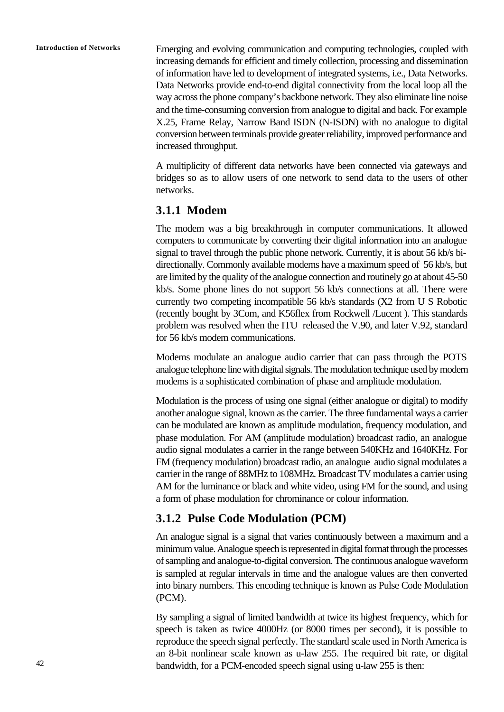**Introduction of Networks** Emerging and evolving communication and computing technologies, coupled with increasing demands for efficient and timely collection, processing and dissemination of information have led to development of integrated systems, i.e., Data Networks. Data Networks provide end-to-end digital connectivity from the local loop all the way across the phone company's backbone network. They also eliminate line noise and the time-consuming conversion from analogue to digital and back. For example X.25, Frame Relay, Narrow Band ISDN (N-ISDN) with no analogue to digital conversion between terminals provide greater reliability, improved performance and increased throughput.

> A multiplicity of different data networks have been connected via gateways and bridges so as to allow users of one network to send data to the users of other networks.

## **3.1.1 Modem**

The modem was a big breakthrough in computer communications. It allowed computers to communicate by converting their digital information into an analogue signal to travel through the public phone network. Currently, it is about 56 kb/s bidirectionally. Commonly available modems have a maximum speed of 56 kb/s, but are limited by the quality of the analogue connection and routinely go at about 45-50 kb/s. Some phone lines do not support 56 kb/s connections at all. There were currently two competing incompatible 56 kb/s standards (X2 from U S Robotic (recently bought by 3Com, and K56flex from Rockwell /Lucent ). This standards problem was resolved when the ITU released the V.90, and later V.92, standard for 56 kb/s modem communications.

Modems modulate an analogue audio carrier that can pass through the POTS analogue telephone line with digital signals. The modulation technique used by modern modems is a sophisticated combination of phase and amplitude modulation.

Modulation is the process of using one signal (either analogue or digital) to modify another analogue signal, known as the carrier. The three fundamental ways a carrier can be modulated are known as amplitude modulation, frequency modulation, and phase modulation. For AM (amplitude modulation) broadcast radio, an analogue audio signal modulates a carrier in the range between 540KHz and 1640KHz. For FM (frequency modulation) broadcast radio, an analogue audio signal modulates a carrier in the range of 88MHz to 108MHz. Broadcast TV modulates a carrier using AM for the luminance or black and white video, using FM for the sound, and using a form of phase modulation for chrominance or colour information.

## **3.1.2 Pulse Code Modulation (PCM)**

An analogue signal is a signal that varies continuously between a maximum and a minimum value. Analogue speech is represented in digital format through the processes of sampling and analogue-to-digital conversion. The continuous analogue waveform is sampled at regular intervals in time and the analogue values are then converted into binary numbers. This encoding technique is known as Pulse Code Modulation (PCM).

By sampling a signal of limited bandwidth at twice its highest frequency, which for speech is taken as twice 4000Hz (or 8000 times per second), it is possible to reproduce the speech signal perfectly. The standard scale used in North America is an 8-bit nonlinear scale known as u-law 255. The required bit rate, or digital bandwidth, for a PCM-encoded speech signal using u-law 255 is then: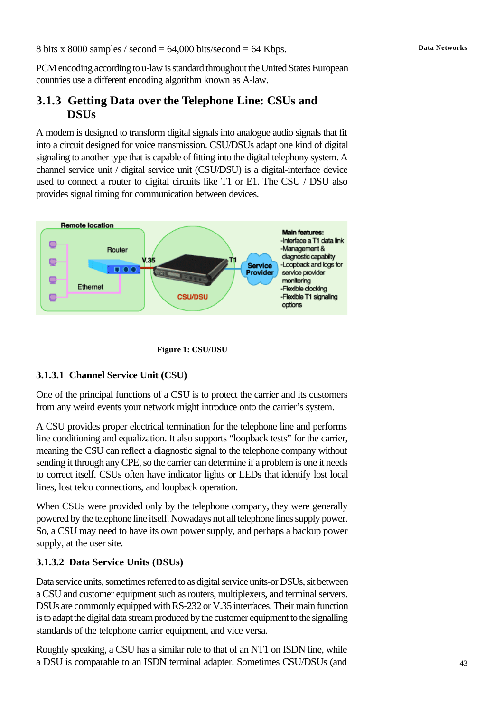8 bits x 8000 samples / second = 64,000 bits/second = 64 Kbps. **Data Networks**

PCM encoding according to u-law is standard throughout the United States European countries use a different encoding algorithm known as A-law.

## **3.1.3 Getting Data over the Telephone Line: CSUs and DSUs**

A modem is designed to transform digital signals into analogue audio signals that fit into a circuit designed for voice transmission. CSU/DSUs adapt one kind of digital signaling to another type that is capable of fitting into the digital telephony system. A channel service unit / digital service unit (CSU/DSU) is a digital-interface device used to connect a router to digital circuits like T1 or E1. The CSU / DSU also provides signal timing for communication between devices.





## **3.1.3.1 Channel Service Unit (CSU)**

One of the principal functions of a CSU is to protect the carrier and its customers from any weird events your network might introduce onto the carrier's system.

A CSU provides proper electrical termination for the telephone line and performs line conditioning and equalization. It also supports "loopback tests" for the carrier, meaning the CSU can reflect a diagnostic signal to the telephone company without sending it through any CPE, so the carrier can determine if a problem is one it needs to correct itself. CSUs often have indicator lights or LEDs that identify lost local lines, lost telco connections, and loopback operation.

When CSUs were provided only by the telephone company, they were generally powered by the telephone line itself. Nowadays not all telephone lines supply power. So, a CSU may need to have its own power supply, and perhaps a backup power supply, at the user site.

## **3.1.3.2 Data Service Units (DSUs)**

Data service units, sometimes referred to as digital service units-or DSUs, sit between a CSU and customer equipment such as routers, multiplexers, and terminal servers. DSUs are commonly equipped with RS-232 or V.35 interfaces. Their main function is to adapt the digital data stream produced by the customer equipment to the signalling standards of the telephone carrier equipment, and vice versa.

Roughly speaking, a CSU has a similar role to that of an NT1 on ISDN line, while a DSU is comparable to an ISDN terminal adapter. Sometimes CSU/DSUs (and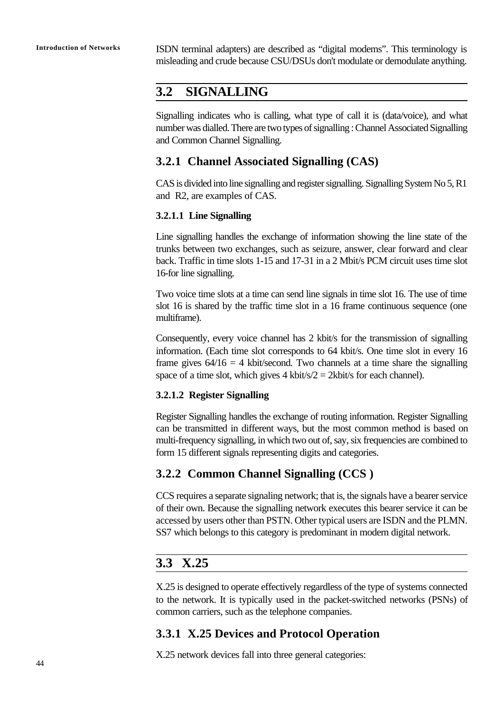**Introduction of Networks** ISDN terminal adapters) are described as "digital modems". This terminology is misleading and crude because CSU/DSUs don't modulate or demodulate anything.

## **3.2 SIGNALLING**

Signalling indicates who is calling, what type of call it is (data/voice), and what number was dialled. There are two types of signalling : Channel Associated Signalling and Common Channel Signalling.

### **3.2.1 Channel Associated Signalling (CAS)**

CAS is divided into line signalling and register signalling. Signalling System No 5, R1 and R2, are examples of CAS.

#### **3.2.1.1 Line Signalling**

Line signalling handles the exchange of information showing the line state of the trunks between two exchanges, such as seizure, answer, clear forward and clear back. Traffic in time slots 1-15 and 17-31 in a 2 Mbit/s PCM circuit uses time slot 16-for line signalling.

Two voice time slots at a time can send line signals in time slot 16. The use of time slot 16 is shared by the traffic time slot in a 16 frame continuous sequence (one multiframe).

Consequently, every voice channel has 2 kbit/s for the transmission of signalling information. (Each time slot corresponds to 64 kbit/s. One time slot in every 16 frame gives  $64/16 = 4$  kbit/second. Two channels at a time share the signalling space of a time slot, which gives  $4 \text{ kbit/s}/2 = 2 \text{ kbit/s}$  for each channel).

#### **3.2.1.2 Register Signalling**

Register Signalling handles the exchange of routing information. Register Signalling can be transmitted in different ways, but the most common method is based on multi-frequency signalling, in which two out of, say, six frequencies are combined to form 15 different signals representing digits and categories.

## **3.2.2 Common Channel Signalling (CCS )**

CCS requires a separate signaling network; that is, the signals have a bearer service of their own. Because the signalling network executes this bearer service it can be accessed by users other than PSTN. Other typical users are ISDN and the PLMN. SS7 which belongs to this category is predominant in modern digital network.

## **3.3 X.25**

X.25 is designed to operate effectively regardless of the type of systems connected to the network. It is typically used in the packet-switched networks (PSNs) of common carriers, such as the telephone companies.

## **3.3.1 X.25 Devices and Protocol Operation**

X.25 network devices fall into three general categories: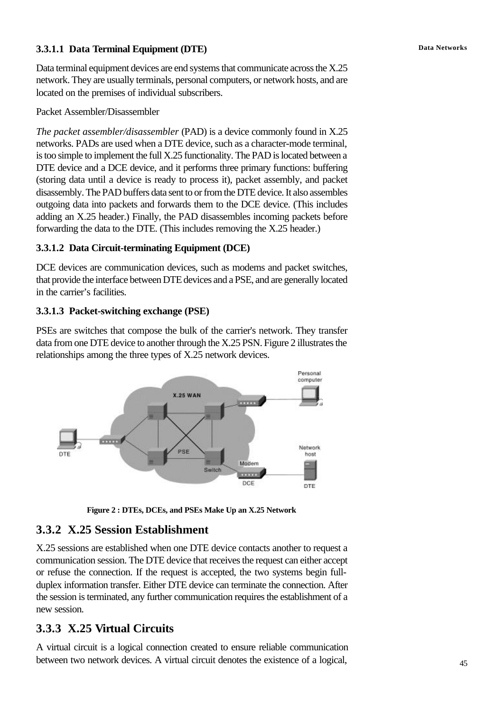### **3.3.1.1 Data Terminal Equipment (DTE)** Data Networks

Data terminal equipment devices are end systems that communicate across the X.25 network. They are usually terminals, personal computers, or network hosts, and are located on the premises of individual subscribers.

#### Packet Assembler/Disassembler

*The packet assembler/disassembler* (PAD) is a device commonly found in X.25 networks. PADs are used when a DTE device, such as a character-mode terminal, is too simple to implement the full X.25 functionality. The PAD is located between a DTE device and a DCE device, and it performs three primary functions: buffering (storing data until a device is ready to process it), packet assembly, and packet disassembly. The PAD buffers data sent to or from the DTE device. It also assembles outgoing data into packets and forwards them to the DCE device. (This includes adding an X.25 header.) Finally, the PAD disassembles incoming packets before forwarding the data to the DTE. (This includes removing the X.25 header.)

#### **3.3.1.2 Data Circuit-terminating Equipment (DCE)**

DCE devices are communication devices, such as modems and packet switches, that provide the interface between DTE devices and a PSE, and are generally located in the carrier's facilities.

#### **3.3.1.3 Packet-switching exchange (PSE)**

PSEs are switches that compose the bulk of the carrier's network. They transfer data from one DTE device to another through the X.25 PSN. Figure 2 illustrates the relationships among the three types of X.25 network devices.



**Figure 2 : DTEs, DCEs, and PSEs Make Up an X.25 Network**

#### **3.3.2 X.25 Session Establishment**

X.25 sessions are established when one DTE device contacts another to request a communication session. The DTE device that receives the request can either accept or refuse the connection. If the request is accepted, the two systems begin fullduplex information transfer. Either DTE device can terminate the connection. After the session is terminated, any further communication requires the establishment of a new session.

## **3.3.3 X.25 Virtual Circuits**

A virtual circuit is a logical connection created to ensure reliable communication between two network devices. A virtual circuit denotes the existence of a logical,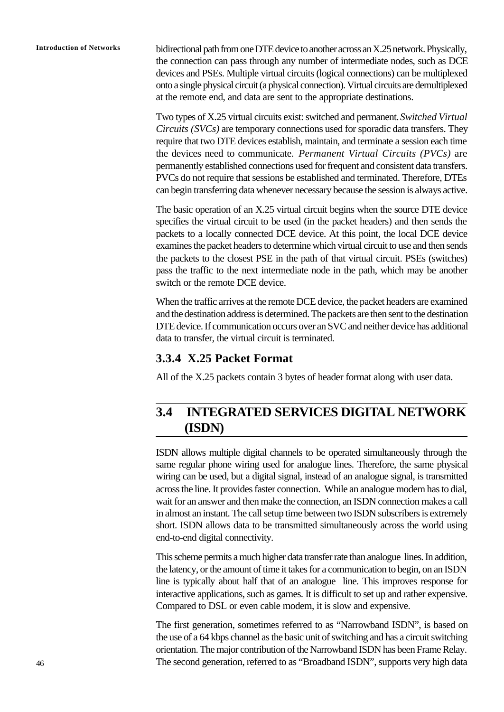**Introduction of Networks** bidirectional path from one DTE device to another across an X.25 network. Physically, the connection can pass through any number of intermediate nodes, such as DCE devices and PSEs. Multiple virtual circuits (logical connections) can be multiplexed onto a single physical circuit (a physical connection). Virtual circuits are demultiplexed at the remote end, and data are sent to the appropriate destinations.

> Two types of X.25 virtual circuits exist: switched and permanent. *Switched Virtual Circuits (SVCs)* are temporary connections used for sporadic data transfers. They require that two DTE devices establish, maintain, and terminate a session each time the devices need to communicate. *Permanent Virtual Circuits (PVCs)* are permanently established connections used for frequent and consistent data transfers. PVCs do not require that sessions be established and terminated. Therefore, DTEs can begin transferring data whenever necessary because the session is always active.

> The basic operation of an X.25 virtual circuit begins when the source DTE device specifies the virtual circuit to be used (in the packet headers) and then sends the packets to a locally connected DCE device. At this point, the local DCE device examines the packet headers to determine which virtual circuit to use and then sends the packets to the closest PSE in the path of that virtual circuit. PSEs (switches) pass the traffic to the next intermediate node in the path, which may be another switch or the remote DCE device.

> When the traffic arrives at the remote DCE device, the packet headers are examined and the destination address is determined. The packets are then sent to the destination DTE device. If communication occurs over an SVC and neither device has additional data to transfer, the virtual circuit is terminated.

## **3.3.4 X.25 Packet Format**

All of the X.25 packets contain 3 bytes of header format along with user data.

## **3.4 INTEGRATED SERVICES DIGITAL NETWORK (ISDN)**

ISDN allows multiple digital channels to be operated simultaneously through the same regular phone wiring used for analogue lines. Therefore, the same physical wiring can be used, but a digital signal, instead of an analogue signal, is transmitted across the line. It provides faster connection. While an analogue modem has to dial, wait for an answer and then make the connection, an ISDN connection makes a call in almost an instant. The call setup time between two ISDN subscribers is extremely short. ISDN allows data to be transmitted simultaneously across the world using end-to-end digital connectivity.

This scheme permits a much higher data transfer rate than analogue lines. In addition, the latency, or the amount of time it takes for a communication to begin, on an ISDN line is typically about half that of an analogue line. This improves response for interactive applications, such as games. It is difficult to set up and rather expensive. Compared to DSL or even cable modem, it is slow and expensive.

The first generation, sometimes referred to as "Narrowband ISDN", is based on the use of a 64 kbps channel as the basic unit of switching and has a circuit switching orientation. The major contribution of the Narrowband ISDN has been Frame Relay. The second generation, referred to as "Broadband ISDN", supports very high data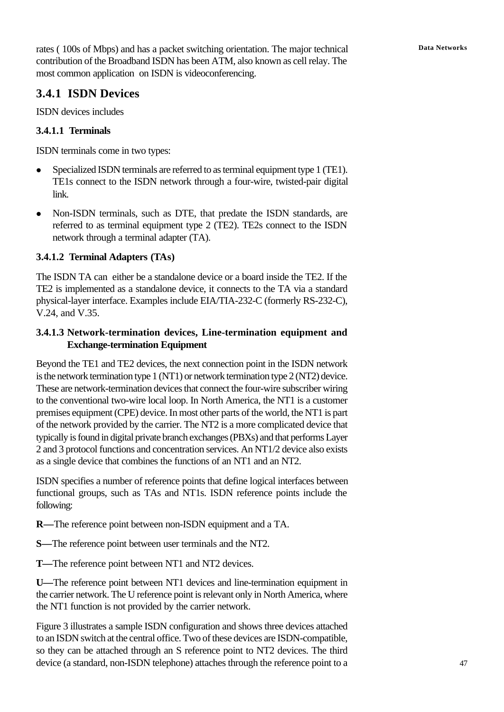**Data Networks** rates ( 100s of Mbps) and has a packet switching orientation. The major technical contribution of the Broadband ISDN has been ATM, also known as cell relay. The most common application on ISDN is videoconferencing.

## **3.4.1 ISDN Devices**

ISDN devices includes

### **3.4.1.1 Terminals**

ISDN terminals come in two types:

- Specialized ISDN terminals are referred to as terminal equipment type 1 (TE1). TE1s connect to the ISDN network through a four-wire, twisted-pair digital link.
- Non-ISDN terminals, such as DTE, that predate the ISDN standards, are referred to as terminal equipment type 2 (TE2). TE2s connect to the ISDN network through a terminal adapter (TA).

### **3.4.1.2 Terminal Adapters (TAs)**

The ISDN TA can either be a standalone device or a board inside the TE2. If the TE2 is implemented as a standalone device, it connects to the TA via a standard physical-layer interface. Examples include EIA/TIA-232-C (formerly RS-232-C), V.24, and V.35.

#### **3.4.1.3 Network-termination devices, Line-termination equipment and Exchange-termination Equipment**

Beyond the TE1 and TE2 devices, the next connection point in the ISDN network is the network termination type 1 (NT1) or network termination type 2 (NT2) device. These are network-termination devices that connect the four-wire subscriber wiring to the conventional two-wire local loop. In North America, the NT1 is a customer premises equipment (CPE) device. In most other parts of the world, the NT1 is part of the network provided by the carrier. The NT2 is a more complicated device that typically is found in digital private branch exchanges (PBXs) and that performs Layer 2 and 3 protocol functions and concentration services. An NT1/2 device also exists as a single device that combines the functions of an NT1 and an NT2.

ISDN specifies a number of reference points that define logical interfaces between functional groups, such as TAs and NT1s. ISDN reference points include the following:

**R—**The reference point between non-ISDN equipment and a TA.

**S—**The reference point between user terminals and the NT2.

**T—**The reference point between NT1 and NT2 devices.

**U—**The reference point between NT1 devices and line-termination equipment in the carrier network. The U reference point is relevant only in North America, where the NT1 function is not provided by the carrier network.

Figure 3 illustrates a sample ISDN configuration and shows three devices attached to an ISDN switch at the central office. Two of these devices are ISDN-compatible, so they can be attached through an S reference point to NT2 devices. The third device (a standard, non-ISDN telephone) attaches through the reference point to a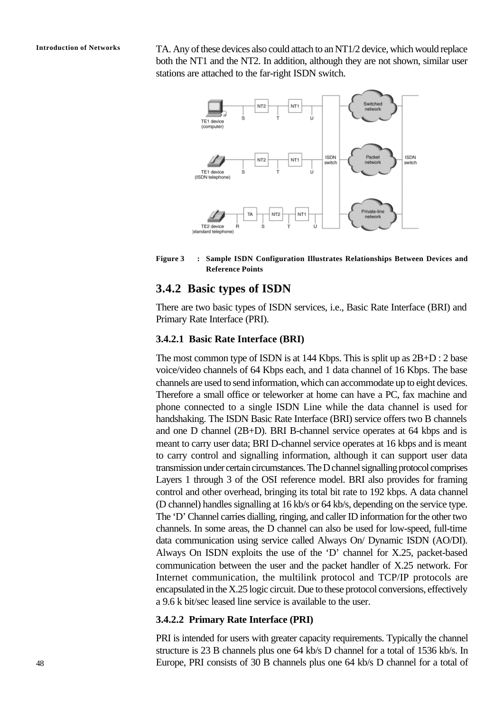**Introduction of Networks** TA. Any of these devices also could attach to an NT1/2 device, which would replace both the NT1 and the NT2. In addition, although they are not shown, similar user stations are attached to the far-right ISDN switch.



**Figure 3 : Sample ISDN Configuration Illustrates Relationships Between Devices and Reference Points**

### **3.4.2 Basic types of ISDN**

There are two basic types of ISDN services, i.e., Basic Rate Interface (BRI) and Primary Rate Interface (PRI).

#### **3.4.2.1 Basic Rate Interface (BRI)**

The most common type of ISDN is at 144 Kbps. This is split up as  $2B+D:2$  base voice/video channels of 64 Kbps each, and 1 data channel of 16 Kbps. The base channels are used to send information, which can accommodate up to eight devices. Therefore a small office or teleworker at home can have a PC, fax machine and phone connected to a single ISDN Line while the data channel is used for handshaking. The ISDN Basic Rate Interface (BRI) service offers two B channels and one D channel (2B+D). BRI B-channel service operates at 64 kbps and is meant to carry user data; BRI D-channel service operates at 16 kbps and is meant to carry control and signalling information, although it can support user data transmission under certain circumstances. The D channel signalling protocol comprises Layers 1 through 3 of the OSI reference model. BRI also provides for framing control and other overhead, bringing its total bit rate to 192 kbps. A data channel (D channel) handles signalling at 16 kb/s or 64 kb/s, depending on the service type. The 'D' Channel carries dialling, ringing, and caller ID information for the other two channels. In some areas, the D channel can also be used for low-speed, full-time data communication using service called Always On/ Dynamic ISDN (AO/DI). Always On ISDN exploits the use of the 'D' channel for X.25, packet-based communication between the user and the packet handler of X.25 network. For Internet communication, the multilink protocol and TCP/IP protocols are encapsulated in the X.25 logic circuit. Due to these protocol conversions, effectively a 9.6 k bit/sec leased line service is available to the user.

#### **3.4.2.2 Primary Rate Interface (PRI)**

PRI is intended for users with greater capacity requirements. Typically the channel structure is 23 B channels plus one 64 kb/s D channel for a total of 1536 kb/s. In Europe, PRI consists of 30 B channels plus one 64 kb/s D channel for a total of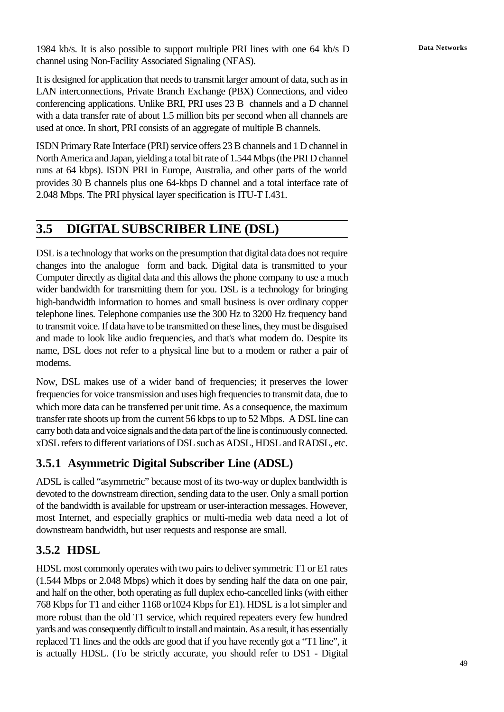1984 kb/s. It is also possible to support multiple PRI lines with one 64 kb/s D **Data Networks** channel using Non-Facility Associated Signaling (NFAS).

It is designed for application that needs to transmit larger amount of data, such as in LAN interconnections, Private Branch Exchange (PBX) Connections, and video conferencing applications. Unlike BRI, PRI uses 23 B channels and a D channel with a data transfer rate of about 1.5 million bits per second when all channels are used at once. In short, PRI consists of an aggregate of multiple B channels.

ISDN Primary Rate Interface (PRI) service offers 23 B channels and 1 D channel in North America and Japan, yielding a total bit rate of 1.544 Mbps (the PRI D channel runs at 64 kbps). ISDN PRI in Europe, Australia, and other parts of the world provides 30 B channels plus one 64-kbps D channel and a total interface rate of 2.048 Mbps. The PRI physical layer specification is ITU-T I.431.

## **3.5 DIGITAL SUBSCRIBER LINE (DSL)**

DSL is a technology that works on the presumption that digital data does not require changes into the analogue form and back. Digital data is transmitted to your Computer directly as digital data and this allows the phone company to use a much wider bandwidth for transmitting them for you. DSL is a technology for bringing high-bandwidth information to homes and small business is over ordinary copper telephone lines. Telephone companies use the 300 Hz to 3200 Hz frequency band to transmit voice. If data have to be transmitted on these lines, they must be disguised and made to look like audio frequencies, and that's what modem do. Despite its name, DSL does not refer to a physical line but to a modem or rather a pair of modems.

Now, DSL makes use of a wider band of frequencies; it preserves the lower frequencies for voice transmission and uses high frequencies to transmit data, due to which more data can be transferred per unit time. As a consequence, the maximum transfer rate shoots up from the current 56 kbps to up to 52 Mbps. A DSL line can carry both data and voice signals and the data part of the line is continuously connected. xDSL refers to different variations of DSL such as ADSL, HDSL and RADSL, etc.

## **3.5.1 Asymmetric Digital Subscriber Line (ADSL)**

ADSL is called "asymmetric" because most of its two-way or duplex bandwidth is devoted to the downstream direction, sending data to the user. Only a small portion of the bandwidth is available for upstream or user-interaction messages. However, most Internet, and especially graphics or multi-media web data need a lot of downstream bandwidth, but user requests and response are small.

## **3.5.2 HDSL**

HDSL most commonly operates with two pairs to deliver symmetric T1 or E1 rates (1.544 Mbps or 2.048 Mbps) which it does by sending half the data on one pair, and half on the other, both operating as full duplex echo-cancelled links (with either 768 Kbps for T1 and either 1168 or1024 Kbps for E1). HDSL is a lot simpler and more robust than the old T1 service, which required repeaters every few hundred yards and was consequently difficult to install and maintain. As a result, it has essentially replaced T1 lines and the odds are good that if you have recently got a "T1 line", it is actually HDSL. (To be strictly accurate, you should refer to DS1 - Digital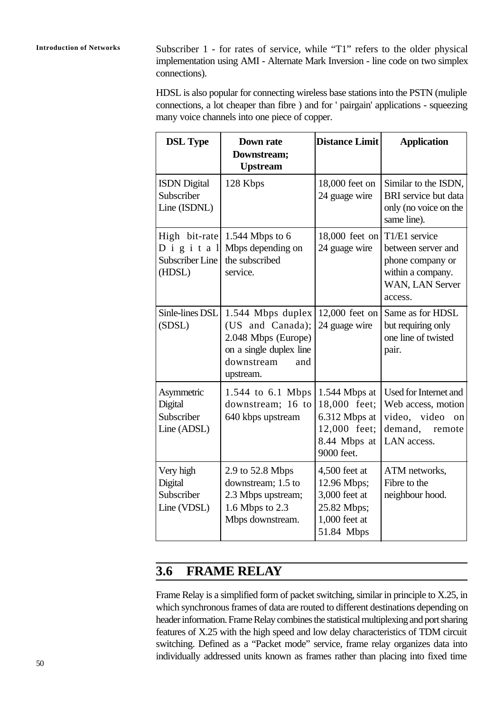**Introduction of Networks** Subscriber 1 - for rates of service, while "T1" refers to the older physical implementation using AMI - Alternate Mark Inversion - line code on two simplex connections).

> HDSL is also popular for connecting wireless base stations into the PSTN (muliple connections, a lot cheaper than fibre ) and for ' pairgain' applications - squeezing many voice channels into one piece of copper.

| <b>DSL Type</b>                                              | <b>Down rate</b><br>Downstream;<br><b>Upstream</b>                                                                        | <b>Distance Limit</b>                                                                        | <b>Application</b>                                                                                                |
|--------------------------------------------------------------|---------------------------------------------------------------------------------------------------------------------------|----------------------------------------------------------------------------------------------|-------------------------------------------------------------------------------------------------------------------|
| <b>ISDN</b> Digital<br>Subscriber<br>Line (ISDNL)            | 128 Kbps                                                                                                                  | 18,000 feet on<br>24 guage wire                                                              | Similar to the ISDN,<br>BRI service but data<br>only (no voice on the<br>same line).                              |
| High bit-rate<br>Digital<br><b>Subscriber Line</b><br>(HDSL) | 1.544 Mbps to 6<br>Mbps depending on<br>the subscribed<br>service.                                                        | 18,000 feet on<br>24 guage wire                                                              | T1/E1 service<br>between server and<br>phone company or<br>within a company.<br><b>WAN, LAN Server</b><br>access. |
| Sinle-lines DSL<br>(SDSL)                                    | 1.544 Mbps duplex<br>(US and Canada);<br>2.048 Mbps (Europe)<br>on a single duplex line<br>downstream<br>and<br>upstream. | 12,000 feet on<br>24 guage wire                                                              | Same as for HDSL<br>but requiring only<br>one line of twisted<br>pair.                                            |
| Asymmetric<br>Digital<br>Subscriber<br>Line (ADSL)           | 1.544 to 6.1 Mbps<br>downstream; 16 to<br>640 kbps upstream                                                               | 1.544 Mbps at<br>18,000 feet;<br>6.312 Mbps at<br>12,000 feet;<br>8.44 Mbps at<br>9000 feet. | Used for Internet and<br>Web access, motion<br>video<br>video,<br>on<br>demand.<br>remote<br>LAN access.          |
| Very high<br>Digital<br>Subscriber<br>Line (VDSL)            | 2.9 to 52.8 Mbps<br>downstream; 1.5 to<br>2.3 Mbps upstream;<br>1.6 Mbps to 2.3<br>Mbps downstream.                       | 4,500 feet at<br>12.96 Mbps;<br>3,000 feet at<br>25.82 Mbps;<br>1,000 feet at<br>51.84 Mbps  | ATM networks,<br>Fibre to the<br>neighbour hood.                                                                  |

## **3.6 FRAME RELAY**

Frame Relay is a simplified form of packet switching, similar in principle to X.25, in which synchronous frames of data are routed to different destinations depending on header information. Frame Relay combines the statistical multiplexing and port sharing features of X.25 with the high speed and low delay characteristics of TDM circuit switching. Defined as a "Packet mode" service, frame relay organizes data into individually addressed units known as frames rather than placing into fixed time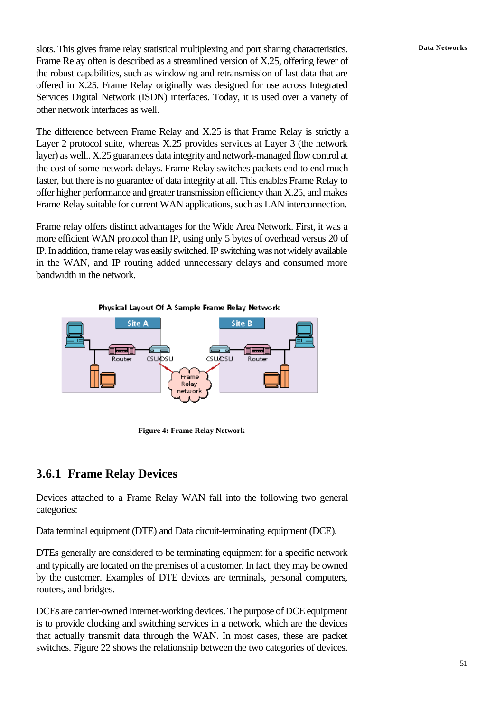**Data Networks** slots. This gives frame relay statistical multiplexing and port sharing characteristics. Frame Relay often is described as a streamlined version of X.25, offering fewer of the robust capabilities, such as windowing and retransmission of last data that are offered in X.25. Frame Relay originally was designed for use across Integrated Services Digital Network (ISDN) interfaces. Today, it is used over a variety of other network interfaces as well.

The difference between Frame Relay and X.25 is that Frame Relay is strictly a Layer 2 protocol suite, whereas X.25 provides services at Layer 3 (the network layer) as well.. X.25 guarantees data integrity and network-managed flow control at the cost of some network delays. Frame Relay switches packets end to end much faster, but there is no guarantee of data integrity at all. This enables Frame Relay to offer higher performance and greater transmission efficiency than X.25, and makes Frame Relay suitable for current WAN applications, such as LAN interconnection.

Frame relay offers distinct advantages for the Wide Area Network. First, it was a more efficient WAN protocol than IP, using only 5 bytes of overhead versus 20 of IP. In addition, frame relay was easily switched. IP switching was not widely available in the WAN, and IP routing added unnecessary delays and consumed more bandwidth in the network.





**Figure 4: Frame Relay Network**

## **3.6.1 Frame Relay Devices**

Devices attached to a Frame Relay WAN fall into the following two general categories:

Data terminal equipment (DTE) and Data circuit-terminating equipment (DCE).

DTEs generally are considered to be terminating equipment for a specific network and typically are located on the premises of a customer. In fact, they may be owned by the customer. Examples of DTE devices are terminals, personal computers, routers, and bridges.

DCEs are carrier-owned Internet-working devices. The purpose of DCE equipment is to provide clocking and switching services in a network, which are the devices that actually transmit data through the WAN. In most cases, these are packet switches. Figure 22 shows the relationship between the two categories of devices.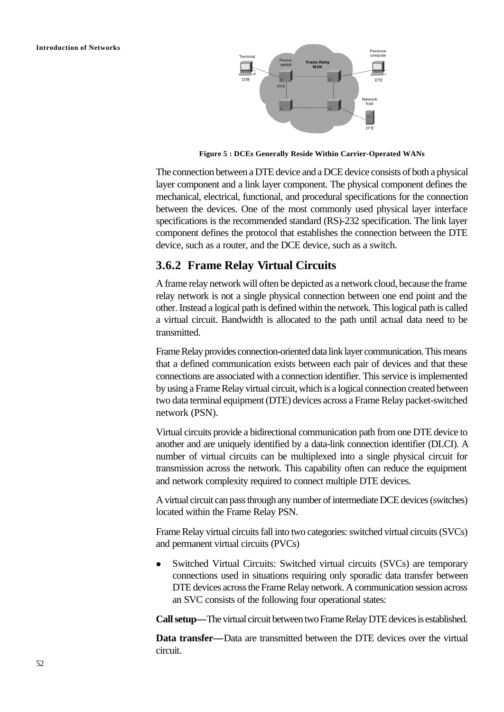

**Figure 5 : DCEs Generally Reside Within Carrier-Operated WANs**

The connection between a DTE device and a DCE device consists of both a physical layer component and a link layer component. The physical component defines the mechanical, electrical, functional, and procedural specifications for the connection between the devices. One of the most commonly used physical layer interface specifications is the recommended standard (RS)-232 specification. The link layer component defines the protocol that establishes the connection between the DTE device, such as a router, and the DCE device, such as a switch.

#### **3.6.2 Frame Relay Virtual Circuits**

A frame relay network will often be depicted as a network cloud, because the frame relay network is not a single physical connection between one end point and the other. Instead a logical path is defined within the network. This logical path is called a virtual circuit. Bandwidth is allocated to the path until actual data need to be transmitted.

Frame Relay provides connection-oriented data link layer communication. This means that a defined communication exists between each pair of devices and that these connections are associated with a connection identifier. This service is implemented by using a Frame Relay virtual circuit, which is a logical connection created between two data terminal equipment (DTE) devices across a Frame Relay packet-switched network (PSN).

Virtual circuits provide a bidirectional communication path from one DTE device to another and are uniquely identified by a data-link connection identifier (DLCI). A number of virtual circuits can be multiplexed into a single physical circuit for transmission across the network. This capability often can reduce the equipment and network complexity required to connect multiple DTE devices.

A virtual circuit can pass through any number of intermediate DCE devices (switches) located within the Frame Relay PSN.

Frame Relay virtual circuits fall into two categories: switched virtual circuits (SVCs) and permanent virtual circuits (PVCs)

• Switched Virtual Circuits: Switched virtual circuits (SVCs) are temporary connections used in situations requiring only sporadic data transfer between DTE devices across the Frame Relay network. A communication session across an SVC consists of the following four operational states:

**Call setup—**The virtual circuit between two Frame Relay DTE devices is established.

**Data transfer—**Data are transmitted between the DTE devices over the virtual circuit.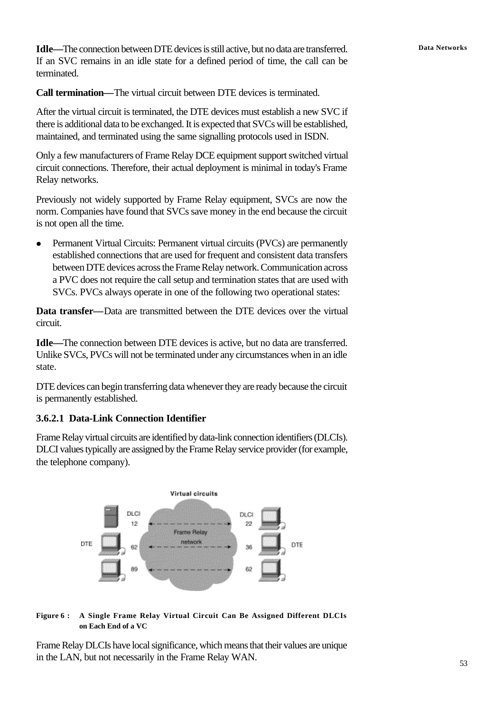**Idle**—The connection between DTE devices is still active, but no data are transferred. Data Networks If an SVC remains in an idle state for a defined period of time, the call can be terminated.

**Call termination—**The virtual circuit between DTE devices is terminated.

After the virtual circuit is terminated, the DTE devices must establish a new SVC if there is additional data to be exchanged. It is expected that SVCs will be established, maintained, and terminated using the same signalling protocols used in ISDN.

Only a few manufacturers of Frame Relay DCE equipment support switched virtual circuit connections. Therefore, their actual deployment is minimal in today's Frame Relay networks.

Previously not widely supported by Frame Relay equipment, SVCs are now the norm. Companies have found that SVCs save money in the end because the circuit is not open all the time.

• Permanent Virtual Circuits: Permanent virtual circuits (PVCs) are permanently established connections that are used for frequent and consistent data transfers between DTE devices across the Frame Relay network. Communication across a PVC does not require the call setup and termination states that are used with SVCs. PVCs always operate in one of the following two operational states:

**Data transfer—**Data are transmitted between the DTE devices over the virtual circuit.

**Idle—**The connection between DTE devices is active, but no data are transferred. Unlike SVCs, PVCs will not be terminated under any circumstances when in an idle state.

DTE devices can begin transferring data whenever they are ready because the circuit is permanently established.

#### **3.6.2.1 Data-Link Connection Identifier**

Frame Relay virtual circuits are identified by data-link connection identifiers (DLCIs). DLCI values typically are assigned by the Frame Relay service provider (for example, the telephone company).



#### **Figure 6 : A Single Frame Relay Virtual Circuit Can Be Assigned Different DLCIs on Each End of a VC**

Frame Relay DLCIs have local significance, which means that their values are unique in the LAN, but not necessarily in the Frame Relay WAN.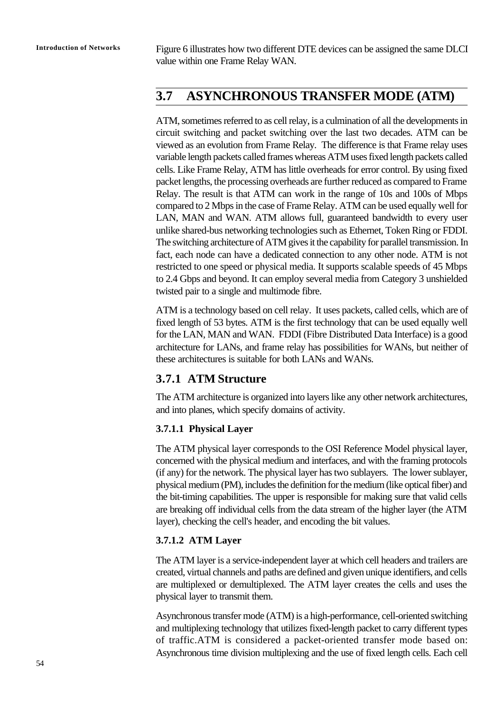**Introduction of Networks** Figure 6 illustrates how two different DTE devices can be assigned the same DLCI value within one Frame Relay WAN.

## **3.7 ASYNCHRONOUS TRANSFER MODE (ATM)**

ATM, sometimes referred to as cell relay, is a culmination of all the developments in circuit switching and packet switching over the last two decades. ATM can be viewed as an evolution from Frame Relay. The difference is that Frame relay uses variable length packets called frames whereas ATM uses fixed length packets called cells. Like Frame Relay, ATM has little overheads for error control. By using fixed packet lengths, the processing overheads are further reduced as compared to Frame Relay. The result is that ATM can work in the range of 10s and 100s of Mbps compared to 2 Mbps in the case of Frame Relay. ATM can be used equally well for LAN, MAN and WAN. ATM allows full, guaranteed bandwidth to every user unlike shared-bus networking technologies such as Ethernet, Token Ring or FDDI. The switching architecture of ATM gives it the capability for parallel transmission. In fact, each node can have a dedicated connection to any other node. ATM is not restricted to one speed or physical media. It supports scalable speeds of 45 Mbps to 2.4 Gbps and beyond. It can employ several media from Category 3 unshielded twisted pair to a single and multimode fibre.

ATM is a technology based on cell relay. It uses packets, called cells, which are of fixed length of 53 bytes. ATM is the first technology that can be used equally well for the LAN, MAN and WAN. FDDI (Fibre Distributed Data Interface) is a good architecture for LANs, and frame relay has possibilities for WANs, but neither of these architectures is suitable for both LANs and WANs.

## **3.7.1 ATM Structure**

The ATM architecture is organized into layers like any other network architectures, and into planes, which specify domains of activity.

#### **3.7.1.1 Physical Layer**

The ATM physical layer corresponds to the OSI Reference Model physical layer, concerned with the physical medium and interfaces, and with the framing protocols (if any) for the network. The physical layer has two sublayers. The lower sublayer, physical medium (PM), includes the definition for the medium (like optical fiber) and the bit-timing capabilities. The upper is responsible for making sure that valid cells are breaking off individual cells from the data stream of the higher layer (the ATM layer), checking the cell's header, and encoding the bit values.

#### **3.7.1.2 ATM Layer**

The ATM layer is a service-independent layer at which cell headers and trailers are created, virtual channels and paths are defined and given unique identifiers, and cells are multiplexed or demultiplexed. The ATM layer creates the cells and uses the physical layer to transmit them.

Asynchronous transfer mode (ATM) is a high-performance, cell-oriented switching and multiplexing technology that utilizes fixed-length packet to carry different types of traffic.ATM is considered a packet-oriented transfer mode based on: Asynchronous time division multiplexing and the use of fixed length cells. Each cell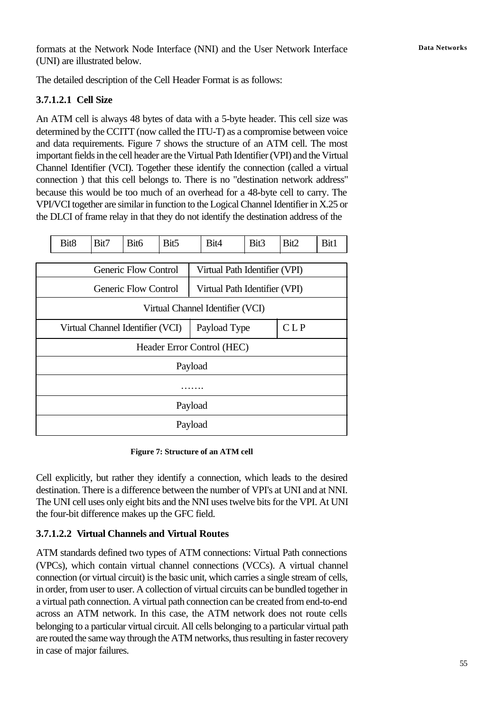formats at the Network Node Interface (NNI) and the User Network Interface **Data Networks** (UNI) are illustrated below.

The detailed description of the Cell Header Format is as follows:

#### **3.7.1.2.1 Cell Size**

An ATM cell is always 48 bytes of data with a 5-byte header. This cell size was determined by the CCITT (now called the ITU-T) as a compromise between voice and data requirements. Figure 7 shows the structure of an ATM cell. The most important fields in the cell header are the Virtual Path Identifier (VPI) and the Virtual Channel Identifier (VCI). Together these identify the connection (called a virtual connection ) that this cell belongs to. There is no "destination network address" because this would be too much of an overhead for a 48-byte cell to carry. The VPI/VCI together are similar in function to the Logical Channel Identifier in X.25 or the DLCI of frame relay in that they do not identify the destination address of the

| Bit <sub>8</sub>                 | Bit7 | Bit <sub>6</sub> | Bit <sub>5</sub>              |                               | Bit <sub>4</sub> | Bit <sub>3</sub> | Bit2 | Bit1 |
|----------------------------------|------|------------------|-------------------------------|-------------------------------|------------------|------------------|------|------|
|                                  |      |                  |                               |                               |                  |                  |      |      |
| <b>Generic Flow Control</b>      |      |                  |                               | Virtual Path Identifier (VPI) |                  |                  |      |      |
| Generic Flow Control             |      |                  | Virtual Path Identifier (VPI) |                               |                  |                  |      |      |
| Virtual Channel Identifier (VCI) |      |                  |                               |                               |                  |                  |      |      |
| Virtual Channel Identifier (VCI) |      |                  | Payload Type                  |                               |                  | CLP              |      |      |
| Header Error Control (HEC)       |      |                  |                               |                               |                  |                  |      |      |
| Payload                          |      |                  |                               |                               |                  |                  |      |      |
|                                  |      |                  |                               |                               |                  |                  |      |      |
| Payload                          |      |                  |                               |                               |                  |                  |      |      |
| Payload                          |      |                  |                               |                               |                  |                  |      |      |

**Figure 7: Structure of an ATM cell**

Cell explicitly, but rather they identify a connection, which leads to the desired destination. There is a difference between the number of VPI's at UNI and at NNI. The UNI cell uses only eight bits and the NNI uses twelve bits for the VPI. At UNI the four-bit difference makes up the GFC field.

#### **3.7.1.2.2 Virtual Channels and Virtual Routes**

ATM standards defined two types of ATM connections: Virtual Path connections (VPCs), which contain virtual channel connections (VCCs). A virtual channel connection (or virtual circuit) is the basic unit, which carries a single stream of cells, in order, from user to user. A collection of virtual circuits can be bundled together in a virtual path connection. A virtual path connection can be created from end-to-end across an ATM network. In this case, the ATM network does not route cells belonging to a particular virtual circuit. All cells belonging to a particular virtual path are routed the same way through the ATM networks, thus resulting in faster recovery in case of major failures.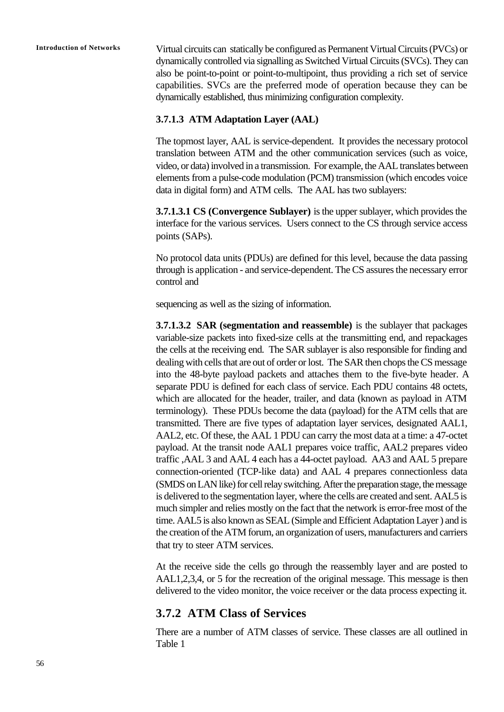**Introduction of Networks** Virtual circuits can statically be configured as Permanent Virtual Circuits (PVCs) or dynamically controlled via signalling as Switched Virtual Circuits (SVCs). They can also be point-to-point or point-to-multipoint, thus providing a rich set of service capabilities. SVCs are the preferred mode of operation because they can be dynamically established, thus minimizing configuration complexity.

#### **3.7.1.3 ATM Adaptation Layer (AAL)**

The topmost layer, AAL is service-dependent. It provides the necessary protocol translation between ATM and the other communication services (such as voice, video, or data) involved in a transmission. For example, the AAL translates between elements from a pulse-code modulation (PCM) transmission (which encodes voice data in digital form) and ATM cells. The AAL has two sublayers:

**3.7.1.3.1 CS (Convergence Sublayer)** is the upper sublayer, which provides the interface for the various services. Users connect to the CS through service access points (SAPs).

No protocol data units (PDUs) are defined for this level, because the data passing through is application - and service-dependent. The CS assures the necessary error control and

sequencing as well as the sizing of information.

**3.7.1.3.2 SAR (segmentation and reassemble)** is the sublayer that packages variable-size packets into fixed-size cells at the transmitting end, and repackages the cells at the receiving end. The SAR sublayer is also responsible for finding and dealing with cells that are out of order or lost. The SAR then chops the CS message into the 48-byte payload packets and attaches them to the five-byte header. A separate PDU is defined for each class of service. Each PDU contains 48 octets, which are allocated for the header, trailer, and data (known as payload in ATM terminology). These PDUs become the data (payload) for the ATM cells that are transmitted. There are five types of adaptation layer services, designated AAL1, AAL2, etc. Of these, the AAL 1 PDU can carry the most data at a time: a 47-octet payload. At the transit node AAL1 prepares voice traffic, AAL2 prepares video traffic ,AAL 3 and AAL 4 each has a 44-octet payload. AA3 and AAL 5 prepare connection-oriented (TCP-like data) and AAL 4 prepares connectionless data (SMDS on LAN like) for cell relay switching. After the preparation stage, the message is delivered to the segmentation layer, where the cells are created and sent. AAL5 is much simpler and relies mostly on the fact that the network is error-free most of the time. AAL5 is also known as SEAL (Simple and Efficient Adaptation Layer ) and is the creation of the ATM forum, an organization of users, manufacturers and carriers that try to steer ATM services.

At the receive side the cells go through the reassembly layer and are posted to AAL1,2,3,4, or 5 for the recreation of the original message. This message is then delivered to the video monitor, the voice receiver or the data process expecting it.

## **3.7.2 ATM Class of Services**

There are a number of ATM classes of service. These classes are all outlined in Table 1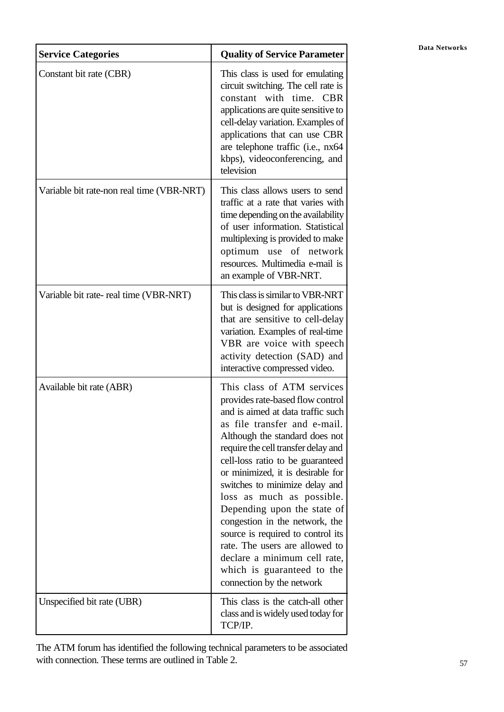| <b>Service Categories</b>                 | <b>Quality of Service Parameter</b>                                                                                                                                                                                                                                                                                                                                                                                                                                                                                                                                                     |
|-------------------------------------------|-----------------------------------------------------------------------------------------------------------------------------------------------------------------------------------------------------------------------------------------------------------------------------------------------------------------------------------------------------------------------------------------------------------------------------------------------------------------------------------------------------------------------------------------------------------------------------------------|
| Constant bit rate (CBR)                   | This class is used for emulating<br>circuit switching. The cell rate is<br>with time. CBR<br>constant<br>applications are quite sensitive to<br>cell-delay variation. Examples of<br>applications that can use CBR<br>are telephone traffic (i.e., nx64<br>kbps), videoconferencing, and<br>television                                                                                                                                                                                                                                                                                  |
| Variable bit rate-non real time (VBR-NRT) | This class allows users to send<br>traffic at a rate that varies with<br>time depending on the availability<br>of user information. Statistical<br>multiplexing is provided to make<br>optimum use of network<br>resources. Multimedia e-mail is<br>an example of VBR-NRT.                                                                                                                                                                                                                                                                                                              |
| Variable bit rate- real time (VBR-NRT)    | This class is similar to VBR-NRT<br>but is designed for applications<br>that are sensitive to cell-delay<br>variation. Examples of real-time<br>VBR are voice with speech<br>activity detection (SAD) and<br>interactive compressed video.                                                                                                                                                                                                                                                                                                                                              |
| Available bit rate (ABR)                  | This class of ATM services<br>provides rate-based flow control<br>and is aimed at data traffic such<br>as file transfer and e-mail.<br>Although the standard does not<br>require the cell transfer delay and<br>cell-loss ratio to be guaranteed<br>or minimized, it is desirable for<br>switches to minimize delay and<br>loss as much as possible.<br>Depending upon the state of<br>congestion in the network, the<br>source is required to control its<br>rate. The users are allowed to<br>declare a minimum cell rate,<br>which is guaranteed to the<br>connection by the network |
| Unspecified bit rate (UBR)                | This class is the catch-all other<br>class and is widely used today for<br>TCP/IP.                                                                                                                                                                                                                                                                                                                                                                                                                                                                                                      |

The ATM forum has identified the following technical parameters to be associated with connection. These terms are outlined in Table 2.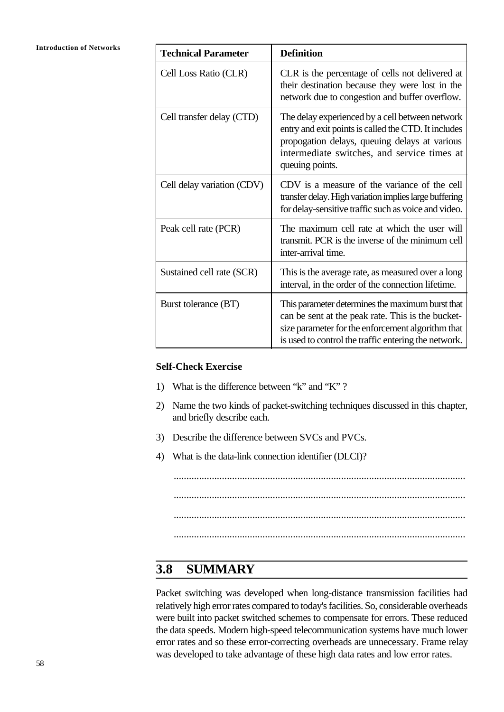| <b>Technical Parameter</b> | <b>Definition</b>                                                                                                                                                                                                          |  |  |  |
|----------------------------|----------------------------------------------------------------------------------------------------------------------------------------------------------------------------------------------------------------------------|--|--|--|
| Cell Loss Ratio (CLR)      | CLR is the percentage of cells not delivered at<br>their destination because they were lost in the<br>network due to congestion and buffer overflow.                                                                       |  |  |  |
| Cell transfer delay (CTD)  | The delay experienced by a cell between network<br>entry and exit points is called the CTD. It includes<br>propogation delays, queuing delays at various<br>intermediate switches, and service times at<br>queuing points. |  |  |  |
| Cell delay variation (CDV) | CDV is a measure of the variance of the cell<br>transfer delay. High variation implies large buffering<br>for delay-sensitive traffic such as voice and video.                                                             |  |  |  |
| Peak cell rate (PCR)       | The maximum cell rate at which the user will<br>transmit. PCR is the inverse of the minimum cell<br>inter-arrival time.                                                                                                    |  |  |  |
| Sustained cell rate (SCR)  | This is the average rate, as measured over a long<br>interval, in the order of the connection lifetime.                                                                                                                    |  |  |  |
| Burst tolerance (BT)       | This parameter determines the maximum burst that<br>can be sent at the peak rate. This is the bucket-<br>size parameter for the enforcement algorithm that<br>is used to control the traffic entering the network.         |  |  |  |

#### **Self-Check Exercise**

- 1) What is the difference between "k" and "K" ?
- 2) Name the two kinds of packet-switching techniques discussed in this chapter, and briefly describe each.
- 3) Describe the difference between SVCs and PVCs.
- 4) What is the data-link connection identifier (DLCI)?

................................................................................................................... ................................................................................................................... ................................................................................................................... ...................................................................................................................

## **3.8 SUMMARY**

Packet switching was developed when long-distance transmission facilities had relatively high error rates compared to today's facilities. So, considerable overheads were built into packet switched schemes to compensate for errors. These reduced the data speeds. Modern high-speed telecommunication systems have much lower error rates and so these error-correcting overheads are unnecessary. Frame relay was developed to take advantage of these high data rates and low error rates.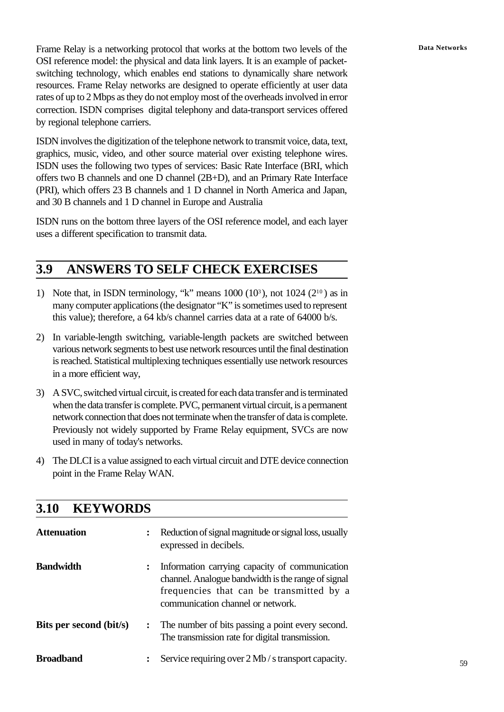Frame Relay is a networking protocol that works at the bottom two levels of the **Data Networks** OSI reference model: the physical and data link layers. It is an example of packetswitching technology, which enables end stations to dynamically share network resources. Frame Relay networks are designed to operate efficiently at user data rates of up to 2 Mbps as they do not employ most of the overheads involved in error correction. ISDN comprises digital telephony and data-transport services offered by regional telephone carriers.

ISDN involves the digitization of the telephone network to transmit voice, data, text, graphics, music, video, and other source material over existing telephone wires. ISDN uses the following two types of services: Basic Rate Interface (BRI, which offers two B channels and one D channel (2B+D), and an Primary Rate Interface (PRI), which offers 23 B channels and 1 D channel in North America and Japan, and 30 B channels and 1 D channel in Europe and Australia

ISDN runs on the bottom three layers of the OSI reference model, and each layer uses a different specification to transmit data.

## **3.9 ANSWERS TO SELF CHECK EXERCISES**

- 1) Note that, in ISDN terminology, "k" means  $1000 (10<sup>3</sup>)$ , not  $1024 (2<sup>10</sup>)$  as in many computer applications (the designator "K" is sometimes used to represent this value); therefore, a 64 kb/s channel carries data at a rate of 64000 b/s.
- 2) In variable-length switching, variable-length packets are switched between various network segments to best use network resources until the final destination is reached. Statistical multiplexing techniques essentially use network resources in a more efficient way,
- 3) A SVC, switched virtual circuit, is created for each data transfer and is terminated when the data transfer is complete. PVC, permanent virtual circuit, is a permanent network connection that does not terminate when the transfer of data is complete. Previously not widely supported by Frame Relay equipment, SVCs are now used in many of today's networks.
- 4) The DLCI is a value assigned to each virtual circuit and DTE device connection point in the Frame Relay WAN.

| <b>Attenuation</b>      | $\ddot{\phantom{a}}$ | Reduction of signal magnitude or signal loss, usually<br>expressed in decibels.                                                                                                       |
|-------------------------|----------------------|---------------------------------------------------------------------------------------------------------------------------------------------------------------------------------------|
| <b>Bandwidth</b>        | $\ddot{\cdot}$       | Information carrying capacity of communication<br>channel. Analogue bandwidth is the range of signal<br>frequencies that can be transmitted by a<br>communication channel or network. |
| Bits per second (bit/s) |                      | : The number of bits passing a point every second.<br>The transmission rate for digital transmission.                                                                                 |
| <b>Broadband</b>        | :                    | Service requiring over 2 Mb / s transport capacity.                                                                                                                                   |

## **3.10 KEYWORDS**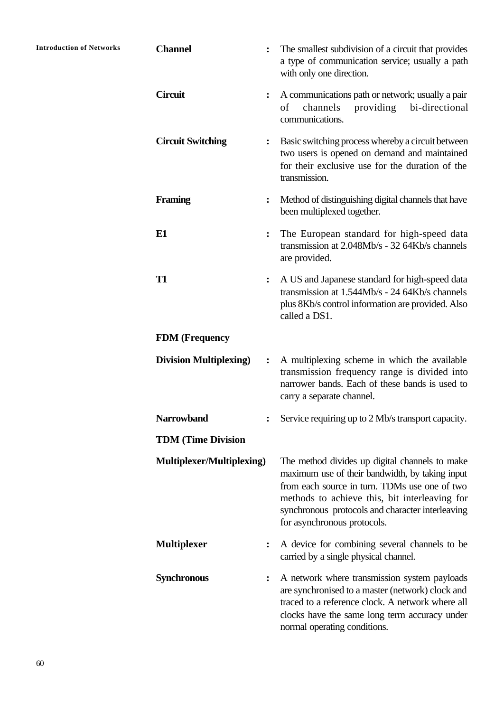| <b>Introduction of Networks</b> | <b>Channel</b>                 | The smallest subdivision of a circuit that provides<br>a type of communication service; usually a path<br>with only one direction.                                                                                                                                                     |
|---------------------------------|--------------------------------|----------------------------------------------------------------------------------------------------------------------------------------------------------------------------------------------------------------------------------------------------------------------------------------|
|                                 | <b>Circuit</b>                 | A communications path or network; usually a pair<br>of<br>providing<br>bi-directional<br>channels<br>communications.                                                                                                                                                                   |
|                                 | <b>Circuit Switching</b>       | Basic switching process whereby a circuit between<br>two users is opened on demand and maintained<br>for their exclusive use for the duration of the<br>transmission.                                                                                                                  |
|                                 | <b>Framing</b>                 | Method of distinguishing digital channels that have<br>been multiplexed together.                                                                                                                                                                                                      |
|                                 | E1                             | The European standard for high-speed data<br>transmission at 2.048Mb/s - 32 64Kb/s channels<br>are provided.                                                                                                                                                                           |
|                                 | <b>T1</b>                      | A US and Japanese standard for high-speed data<br>transmission at 1.544Mb/s - 24 64Kb/s channels<br>plus 8Kb/s control information are provided. Also<br>called a DS1.                                                                                                                 |
|                                 | <b>FDM</b> (Frequency          |                                                                                                                                                                                                                                                                                        |
|                                 | <b>Division Multiplexing</b> ) | A multiplexing scheme in which the available<br>transmission frequency range is divided into<br>narrower bands. Each of these bands is used to<br>carry a separate channel.                                                                                                            |
|                                 | <b>Narrowband</b>              | Service requiring up to 2 Mb/s transport capacity.                                                                                                                                                                                                                                     |
|                                 | <b>TDM</b> (Time Division      |                                                                                                                                                                                                                                                                                        |
|                                 | Multiplexer/Multiplexing)      | The method divides up digital channels to make<br>maximum use of their bandwidth, by taking input<br>from each source in turn. TDMs use one of two<br>methods to achieve this, bit interleaving for<br>synchronous protocols and character interleaving<br>for asynchronous protocols. |
|                                 | <b>Multiplexer</b>             | A device for combining several channels to be<br>carried by a single physical channel.                                                                                                                                                                                                 |
|                                 | <b>Synchronous</b>             | A network where transmission system payloads<br>are synchronised to a master (network) clock and<br>traced to a reference clock. A network where all<br>clocks have the same long term accuracy under<br>normal operating conditions.                                                  |